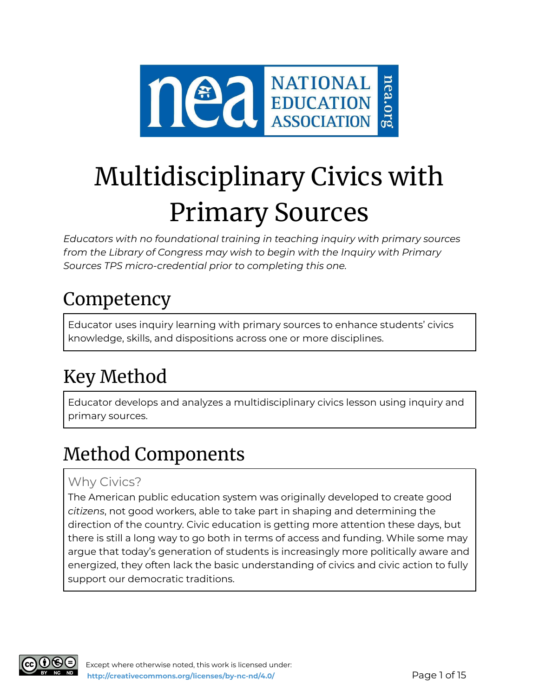

# Multidisciplinary Civics with Primary Sources

*Educators with no foundational training in teaching inquiry with primary sources from the Library of Congress may wish to begin with the Inquiry with Primary Sources TPS micro-credential prior to completing this one.*

### Competency

Educator uses inquiry learning with primary sources to enhance students' civics knowledge, skills, and dispositions across one or more disciplines.

## Key Method

Educator develops and analyzes a multidisciplinary civics lesson using inquiry and primary sources.

### Method Components

#### Why Civics?

The American public education system was originally developed to create good *citizens*, not good workers, able to take part in shaping and determining the direction of the country. Civic education is getting more attention these days, but there is still a long way to go both in terms of access and funding. While some may argue that today's generation of students is increasingly more politically aware and energized, they often lack the basic understanding of civics and civic action to fully support our democratic traditions.

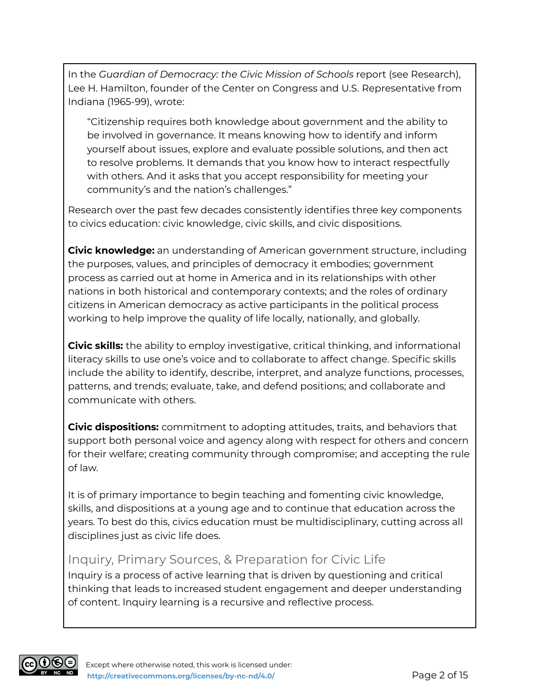In the *Guardian of [Democracy:](https://www.carnegie.org/media/filer_public/ab/dd/abdda62e-6e84-47a4-a043-348d2f2085ae/ccny_grantee_2011_guardian.pdf) the Civic Mission of Schools* report (see Research), Lee H. Hamilton, founder of the Center on [Congress](https://corg.indiana.edu/) and U.S. Representative from Indiana (1965-99), wrote:

"Citizenship requires both knowledge about government and the ability to be involved in governance. It means knowing how to identify and inform yourself about issues, explore and evaluate possible solutions, and then act to resolve problems. It demands that you know how to interact respectfully with others. And it asks that you accept responsibility for meeting your community's and the nation's challenges."

Research over the past few decades consistently identifies three key components to civics education: civic knowledge, civic skills, and civic dispositions.

**Civic knowledge:** an understanding of American government structure, including the purposes, values, and principles of democracy it embodies; government process as carried out at home in America and in its relationships with other nations in both historical and contemporary contexts; and the roles of ordinary citizens in American democracy as active participants in the political process working to help improve the quality of life locally, nationally, and globally.

**Civic skills:** the ability to employ investigative, critical thinking, and informational literacy skills to use one's voice and to collaborate to affect change. Specific skills include the ability to identify, describe, interpret, and analyze functions, processes, patterns, and trends; evaluate, take, and defend positions; and collaborate and communicate with others.

**Civic dispositions:** commitment to adopting attitudes, traits, and behaviors that support both personal voice and agency along with respect for others and concern for their welfare; creating community through compromise; and accepting the rule of law.

It is of primary importance to begin teaching and fomenting civic knowledge, skills, and dispositions at a young age and to continue that education across the years. To best do this, civics education must be multidisciplinary, cutting across all disciplines just as civic life does.

#### Inquiry, Primary Sources, & Preparation for Civic Life

Inquiry is a process of active learning that is driven by questioning and critical thinking that leads to increased student engagement and deeper understanding of content. Inquiry learning is a recursive and reflective process.

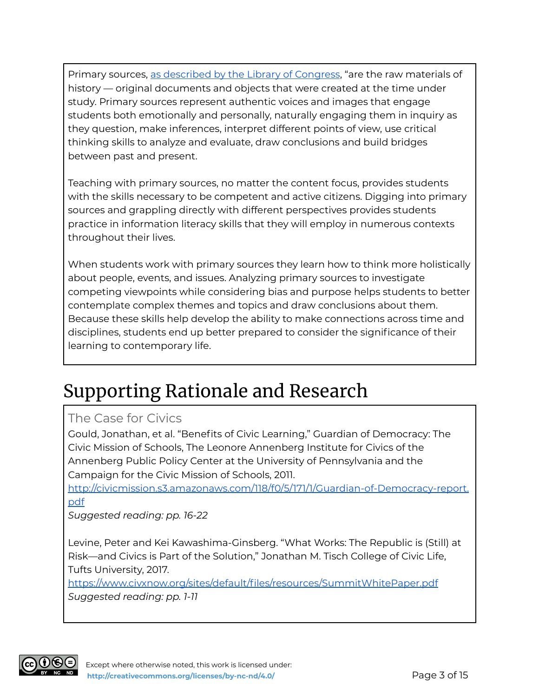Primary sources, as [described](https://www.loc.gov/programs/teachers/getting-started-with-primary-sources/) by the Library of Congress, "are the raw materials of history — original documents and objects that were created at the time under study. Primary sources represent authentic voices and images that engage students both emotionally and personally, naturally engaging them in inquiry as they question, make inferences, interpret different points of view, use critical thinking skills to analyze and evaluate, draw conclusions and build bridges between past and present.

Teaching with primary sources, no matter the content focus, provides students with the skills necessary to be competent and active citizens. Digging into primary sources and grappling directly with different perspectives provides students practice in information literacy skills that they will employ in numerous contexts throughout their lives.

When students work with primary sources they learn how to think more holistically about people, events, and issues. Analyzing primary sources to investigate competing viewpoints while considering bias and purpose helps students to better contemplate complex themes and topics and draw conclusions about them. Because these skills help develop the ability to make connections across time and disciplines, students end up better prepared to consider the significance of their learning to contemporary life.

### Supporting Rationale and Research

#### The Case for Civics

Gould, Jonathan, et al. "Benefits of Civic Learning," Guardian of Democracy: The Civic Mission of Schools, The Leonore Annenberg Institute for Civics of the Annenberg Public Policy Center at the University of Pennsylvania and the Campaign for the Civic Mission of Schools, 2011.

[http://civicmission.s3.amazonaws.com/118/f0/5/171/1/Guardian-of-Democracy-report.](http://civicmission.s3.amazonaws.com/118/f0/5/171/1/Guardian-of-Democracy-report.pdf) [pdf](http://civicmission.s3.amazonaws.com/118/f0/5/171/1/Guardian-of-Democracy-report.pdf)

*Suggested reading: pp. 16-22*

Levine, Peter and Kei Kawashima-Ginsberg. "What Works: The Republic is (Still) at Risk—and Civics is Part of the Solution," Jonathan M. Tisch College of Civic Life, Tufts University, 2017.

<https://www.civxnow.org/sites/default/files/resources/SummitWhitePaper.pdf> *Suggested reading: pp. 1-11*

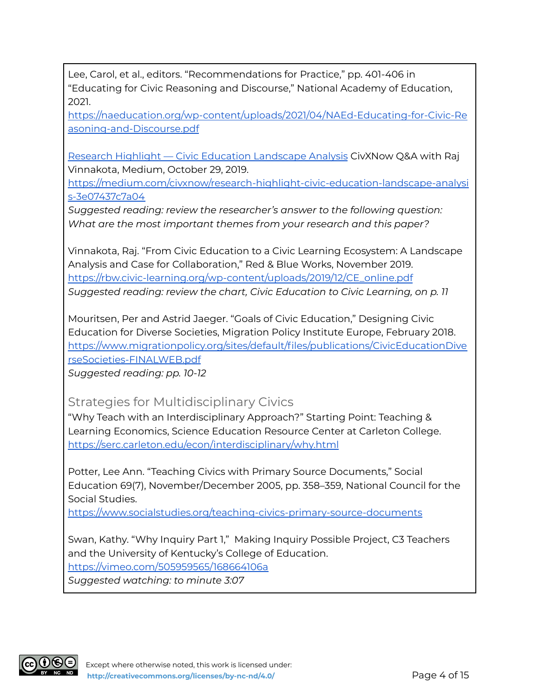Lee, Carol, et al., editors. "Recommendations for Practice," pp. 401-406 in "Educating for Civic Reasoning and Discourse," National Academy of Education, 2021.

[https://naeducation.org/wp-content/uploads/2021/04/NAEd-Educating-for-Civic-Re](https://naeducation.org/wp-content/uploads/2021/04/NAEd-Educating-for-Civic-Reasoning-and-Discourse.pdf) [asoning-and-Discourse.pdf](https://naeducation.org/wp-content/uploads/2021/04/NAEd-Educating-for-Civic-Reasoning-and-Discourse.pdf)

Research Highlight — Civic Education [Landscape](https://medium.com/civxnow/research-highlight-civic-education-landscape-analysis-3e07437c7a04) Analysis CivXNow Q&A with Raj Vinnakota, Medium, October 29, 2019.

[https://medium.com/civxnow/research-highlight-civic-education-landscape-analysi](https://medium.com/civxnow/research-highlight-civic-education-landscape-analysis-3e07437c7a04) [s-3e07437c7a04](https://medium.com/civxnow/research-highlight-civic-education-landscape-analysis-3e07437c7a04)

*Suggested reading: review the researcher's answer to the following question: What are the most important themes from your research and this paper?*

Vinnakota, Raj. "From Civic Education to a Civic Learning Ecosystem: A Landscape Analysis and Case for Collaboration," Red & Blue Works, November 2019. [https://rbw.civic-learning.org/wp-content/uploads/2019/12/CE\\_online.pdf](https://rbw.civic-learning.org/wp-content/uploads/2019/12/CE_online.pdf) *Suggested reading: review the chart, Civic Education to Civic Learning, on p. 11*

Mouritsen, Per and Astrid Jaeger. "Goals of Civic Education," Designing Civic Education for Diverse Societies, Migration Policy Institute Europe, February 2018. [https://www.migrationpolicy.org/sites/default/files/publications/CivicEducationDive](https://www.migrationpolicy.org/sites/default/files/publications/CivicEducationDiverseSocieties-FINALWEB.pdf) [rseSocieties-FINALWEB.pdf](https://www.migrationpolicy.org/sites/default/files/publications/CivicEducationDiverseSocieties-FINALWEB.pdf)

*Suggested reading: pp. 10-12*

Strategies for Multidisciplinary Civics

"Why Teach with an Interdisciplinary Approach?" Starting Point: Teaching & Learning Economics, Science Education Resource Center at Carleton College. <https://serc.carleton.edu/econ/interdisciplinary/why.html>

Potter, Lee Ann. "Teaching Civics with Primary Source Documents," Social Education 69(7), November/December 2005, pp. 358–359, National Council for the Social Studies.

<https://www.socialstudies.org/teaching-civics-primary-source-documents>

Swan, Kathy. "Why Inquiry Part 1," Making Inquiry Possible Project, C3 Teachers and the University of Kentucky's College of Education.

<https://vimeo.com/505959565/168664106a>

*Suggested watching: to minute 3:07*

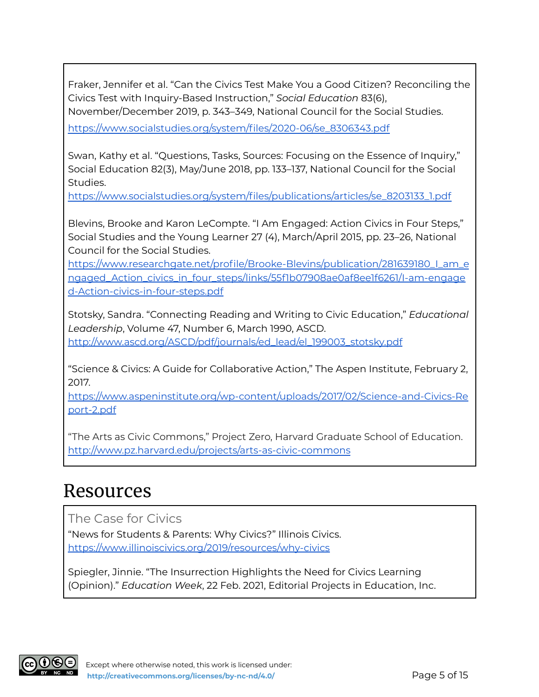Fraker, Jennifer et al. "Can the Civics Test Make You a Good Citizen? Reconciling the Civics Test with Inquiry-Based Instruction," *Social Education* 83(6), November/December 2019, p. 343–349, National Council for the Social Studies.

[https://www.socialstudies.org/system/files/2020-06/se\\_8306343.pdf](https://www.socialstudies.org/system/files/2020-06/se_8306343.pdf)

Swan, Kathy et al. "Questions, Tasks, Sources: Focusing on the Essence of Inquiry," Social Education 82(3), May/June 2018, pp. 133–137, National Council for the Social Studies.

[https://www.socialstudies.org/system/files/publications/articles/se\\_8203133\\_1.pdf](https://www.socialstudies.org/system/files/publications/articles/se_8203133_1.pdf)

Blevins, Brooke and Karon LeCompte. "I Am Engaged: Action Civics in Four Steps," Social Studies and the Young Learner 27 (4), March/April 2015, pp. 23–26, National Council for the Social Studies.

[https://www.researchgate.net/profile/Brooke-Blevins/publication/281639180\\_I\\_am\\_e](https://www.researchgate.net/profile/Brooke-Blevins/publication/281639180_I_am_engaged_Action_civics_in_four_steps/links/55f1b07908ae0af8ee1f6261/I-am-engaged-Action-civics-in-four-steps.pdf) [ngaged\\_Action\\_civics\\_in\\_four\\_steps/links/55f1b07908ae0af8ee1f6261/I-am-engage](https://www.researchgate.net/profile/Brooke-Blevins/publication/281639180_I_am_engaged_Action_civics_in_four_steps/links/55f1b07908ae0af8ee1f6261/I-am-engaged-Action-civics-in-four-steps.pdf) [d-Action-civics-in-four-steps.pdf](https://www.researchgate.net/profile/Brooke-Blevins/publication/281639180_I_am_engaged_Action_civics_in_four_steps/links/55f1b07908ae0af8ee1f6261/I-am-engaged-Action-civics-in-four-steps.pdf)

Stotsky, Sandra. "Connecting Reading and Writing to Civic Education," *Educational Leadership*, Volume 47, Number 6, March 1990, ASCD. [http://www.ascd.org/ASCD/pdf/journals/ed\\_lead/el\\_199003\\_stotsky.pdf](http://www.ascd.org/ASCD/pdf/journals/ed_lead/el_199003_stotsky.pdf)

"Science & Civics: A Guide for Collaborative Action," The Aspen Institute, February 2, 2017.

[https://www.aspeninstitute.org/wp-content/uploads/2017/02/Science-and-Civics-Re](https://www.aspeninstitute.org/wp-content/uploads/2017/02/Science-and-Civics-Report-2.pdf) [port-2.pdf](https://www.aspeninstitute.org/wp-content/uploads/2017/02/Science-and-Civics-Report-2.pdf)

"The Arts as Civic Commons," Project Zero, Harvard Graduate School of Education. <http://www.pz.harvard.edu/projects/arts-as-civic-commons>

### Resources

The Case for Civics

"News for Students & Parents: Why Civics?" Illinois Civics. <https://www.illinoiscivics.org/2019/resources/why-civics>

Spiegler, Jinnie. "The Insurrection Highlights the Need for Civics Learning (Opinion)." *Education Week*, 22 Feb. 2021, Editorial Projects in Education, Inc.

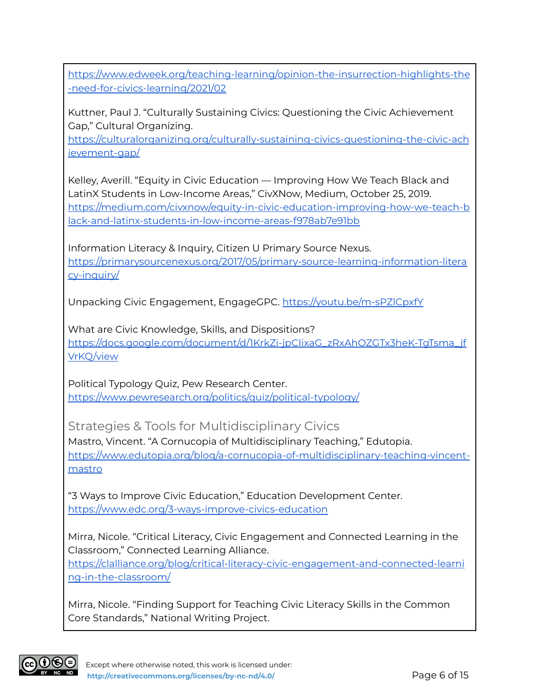[https://www.edweek.org/teaching-learning/opinion-the-insurrection-highlights-the](https://www.edweek.org/teaching-learning/opinion-the-insurrection-highlights-the-need-for-civics-learning/2021/02) [-need-for-civics-learning/2021/02](https://www.edweek.org/teaching-learning/opinion-the-insurrection-highlights-the-need-for-civics-learning/2021/02)

Kuttner, Paul J. "Culturally Sustaining Civics: Questioning the Civic Achievement Gap," Cultural Organizing.

[https://culturalorganizing.org/culturally-sustaining-civics-questioning-the-civic-ach](https://culturalorganizing.org/culturally-sustaining-civics-questioning-the-civic-achievement-gap/) [ievement-gap/](https://culturalorganizing.org/culturally-sustaining-civics-questioning-the-civic-achievement-gap/)

Kelley, Averill. "Equity in Civic Education — Improving How We Teach Black and LatinX Students in Low-Income Areas," CivXNow, Medium, October 25, 2019. [https://medium.com/civxnow/equity-in-civic-education-improving-how-we-teach-b](https://medium.com/civxnow/equity-in-civic-education-improving-how-we-teach-black-and-latinx-students-in-low-income-areas-f978ab7e91bb) [lack-and-latinx-students-in-low-income-areas-f978ab7e91bb](https://medium.com/civxnow/equity-in-civic-education-improving-how-we-teach-black-and-latinx-students-in-low-income-areas-f978ab7e91bb)

Information Literacy & Inquiry, Citizen U Primary Source Nexus. [https://primarysourcenexus.org/2017/05/primary-source-learning-information-litera](https://primarysourcenexus.org/2017/05/primary-source-learning-information-literacy-inquiry/) [cy-inquiry/](https://primarysourcenexus.org/2017/05/primary-source-learning-information-literacy-inquiry/)

Unpacking Civic Engagement, EngageGPC. https://youtu.be/m-sPZICpxfY

What are Civic Knowledge, Skills, and Dispositions? [https://docs.google.com/document/d/1KrkZi-jpCIixaG\\_zRxAhOZGTx3heK-TgTsma\\_jf](https://docs.google.com/document/d/1KrkZi-jpCIixaG_zRxAhOZGTx3heK-TgTsma_jfVrKQ/view) [VrKQ/view](https://docs.google.com/document/d/1KrkZi-jpCIixaG_zRxAhOZGTx3heK-TgTsma_jfVrKQ/view)

Political Typology Quiz, Pew Research Center[.](https://www.pewresearch.org/politics/quiz/political-typology/) <https://www.pewresearch.org/politics/quiz/political-typology/>

Strategies & Tools for Multidisciplinary Civics Mastro, Vincent. "A Cornucopia of Multidisciplinary Teaching," Edutopia. [https://www.edutopia.org/blog/a-cornucopia-of-multidisciplinary-teaching-vincent](https://www.edutopia.org/blog/a-cornucopia-of-multidisciplinary-teaching-vincent-mastro)[mastro](https://www.edutopia.org/blog/a-cornucopia-of-multidisciplinary-teaching-vincent-mastro)

"3 Ways to Improve Civic Education," Education Development Center. <https://www.edc.org/3-ways-improve-civics-education>

Mirra, Nicole. "Critical Literacy, Civic Engagement and Connected Learning in the Classroom," Connected Learning Alliance. [https://clalliance.org/blog/critical-literacy-civic-engagement-and-connected-learni](https://clalliance.org/blog/critical-literacy-civic-engagement-and-connected-learning-in-the-classroom/) [ng-in-the-classroom/](https://clalliance.org/blog/critical-literacy-civic-engagement-and-connected-learning-in-the-classroom/)

Mirra, Nicole. "Finding Support for Teaching Civic Literacy Skills in the Common Core Standards," National Writing Project.

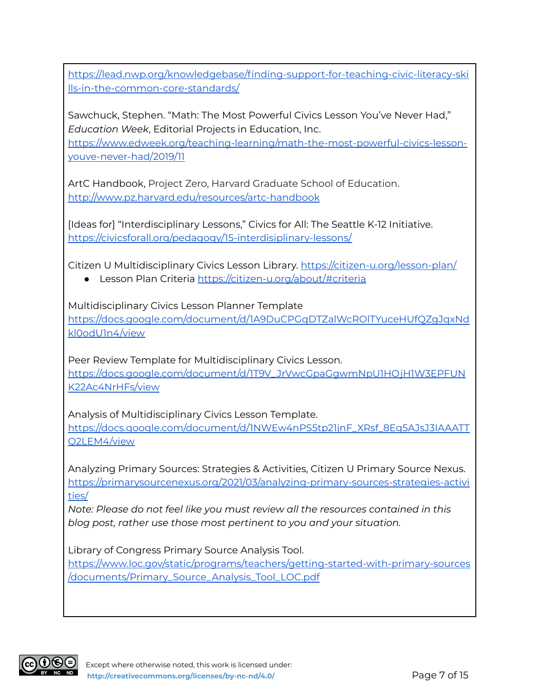[https://lead.nwp.org/knowledgebase/finding-support-for-teaching-civic-literacy-ski](https://lead.nwp.org/knowledgebase/finding-support-for-teaching-civic-literacy-skills-in-the-common-core-standards/) [lls-in-the-common-core-standards/](https://lead.nwp.org/knowledgebase/finding-support-for-teaching-civic-literacy-skills-in-the-common-core-standards/)

Sawchuck, Stephen. "Math: The Most Powerful Civics Lesson You've Never Had," *Education Week*, Editorial Projects in Education, Inc. [https://www.edweek.org/teaching-learning/math-the-most-powerful-civics-lesson-](https://www.edweek.org/teaching-learning/math-the-most-powerful-civics-lesson-youve-never-had/2019/11)

[youve-never-had/2019/11](https://www.edweek.org/teaching-learning/math-the-most-powerful-civics-lesson-youve-never-had/2019/11)

ArtC Handbook, Project Zero, Harvard Graduate School of Education. <http://www.pz.harvard.edu/resources/artc-handbook>

[Ideas for] "Interdisciplinary Lessons," Civics for All: The Seattle K-12 Initiative. <https://civicsforall.org/pedagogy/15-interdisiplinary-lessons/>

Citizen U Multidisciplinary Civics Lesson Library. <https://citizen-u.org/lesson-plan/>

● Lesson Plan Criteria <https://citizen-u.org/about/#criteria>

Multidisciplinary Civics Lesson Planner Template [https://docs.google.com/document/d/1A9DuCPGqDTZalWcROlTYuceHUfQZgJqxNd](https://docs.google.com/document/d/1A9DuCPGqDTZalWcROlTYuceHUfQZgJqxNdkl0odU1n4/view) [kl0odU1n4/view](https://docs.google.com/document/d/1A9DuCPGqDTZalWcROlTYuceHUfQZgJqxNdkl0odU1n4/view)

Peer Review Template for Multidisciplinary Civics Lesson. [https://docs.google.com/document/d/1T9V\\_JrVwcGpaGgwmNpU1HOjH1W3EPFUN](https://docs.google.com/document/d/1T9V_JrVwcGpaGgwmNpU1HOjH1W3EPFUNK22Ac4NrHFs/view) [K22Ac4NrHFs/view](https://docs.google.com/document/d/1T9V_JrVwcGpaGgwmNpU1HOjH1W3EPFUNK22Ac4NrHFs/view)

Analysis of Multidisciplinary Civics Lesson Template.

[https://docs.google.com/document/d/1NWEw4nPS5tp21jnF\\_XRsf\\_8Eg5AJsJ3IAAATT](https://docs.google.com/document/d/1NWEw4nPS5tp21jnF_XRsf_8Eg5AJsJ3IAAATTQ2LEM4/view) [Q2LEM4/view](https://docs.google.com/document/d/1NWEw4nPS5tp21jnF_XRsf_8Eg5AJsJ3IAAATTQ2LEM4/view)

Analyzing Primary Sources: Strategies & Activities, Citizen U Primary Source Nexus. [https://primarysourcenexus.org/2021/03/analyzing-primary-sources-strategies-activi](https://primarysourcenexus.org/2021/03/analyzing-primary-sources-strategies-activities/) [ties/](https://primarysourcenexus.org/2021/03/analyzing-primary-sources-strategies-activities/)

*Note: Please do not feel like you must review all the resources contained in this blog post, rather use those most pertinent to you and your situation.*

Library of Congress Primary Source Analysis Tool.

[https://www.loc.gov/static/programs/teachers/getting-started-with-primary-sources](https://www.loc.gov/static/programs/teachers/getting-started-with-primary-sources/documents/Primary_Source_Analysis_Tool_LOC.pdf) [/documents/Primary\\_Source\\_Analysis\\_Tool\\_LOC.pdf](https://www.loc.gov/static/programs/teachers/getting-started-with-primary-sources/documents/Primary_Source_Analysis_Tool_LOC.pdf)

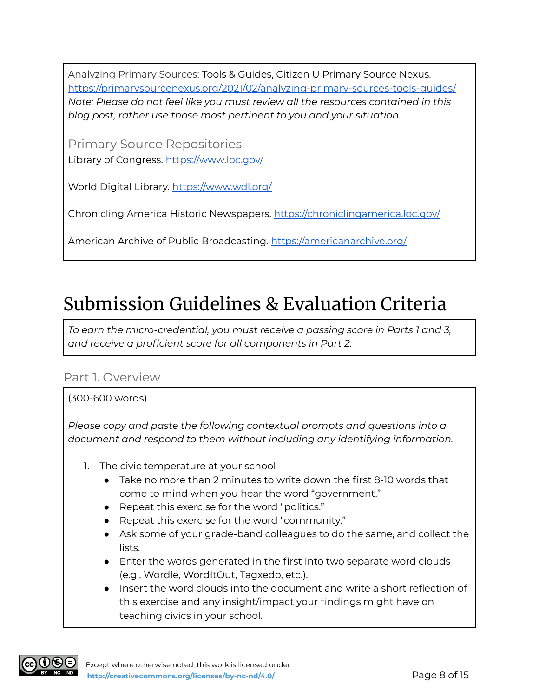Analyzing Primary Sources: Tools & Guides, Citizen U Primary Source Nexus. <https://primarysourcenexus.org/2021/02/analyzing-primary-sources-tools-guides/> *Note: Please do not feel like you must review all the resources contained in this blog post, rather use those most pertinent to you and your situation.*

Primary Source Repositories Library of Congress. <https://www.loc.gov/>

World Digital Library. <https://www.wdl.org/>

Chronicling America Historic Newspapers. <https://chroniclingamerica.loc.gov/>

American Archive of Public Broadcasting. <https://americanarchive.org/>

### Submission Guidelines & Evaluation Criteria

*To earn the micro-credential, you must receive a passing score in Parts 1 and 3, and receive a proficient score for all components in Part 2.*

#### Part 1. Overview

#### (300-600 words)

*Please copy and paste the following contextual prompts and questions into a document and respond to them without including any identifying information.*

- 1. The civic temperature at your school
	- Take no more than 2 minutes to write down the first 8-10 words that come to mind when you hear the word "government."
	- Repeat this exercise for the word "politics."
	- Repeat this exercise for the word "community."
	- Ask some of your grade-band colleagues to do the same, and collect the lists.
	- Enter the words generated in the first into two separate word clouds (e.g., Wordle, WordItOut, Tagxedo, etc.).
	- Insert the word clouds into the document and write a short reflection of this exercise and any insight/impact your findings might have on teaching civics in your school.

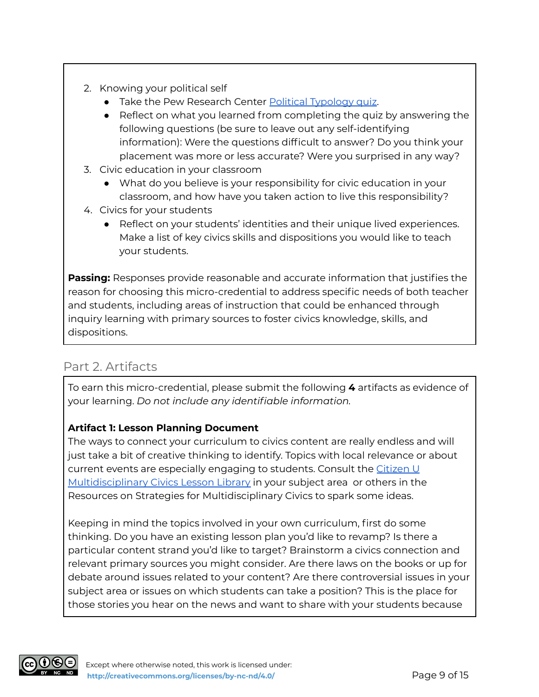- 2. Knowing your political self
	- **•** Take the Pew Research Center Political [Typology](https://www.people-press.org/quiz/political-typology/) quiz.
	- Reflect on what you learned from completing the quiz by answering the following questions (be sure to leave out any self-identifying information): Were the questions difficult to answer? Do you think your placement was more or less accurate? Were you surprised in any way?
- 3. Civic education in your classroom
	- What do you believe is your responsibility for civic education in your classroom, and how have you taken action to live this responsibility?
- 4. Civics for your students
	- Reflect on your students' identities and their unique lived experiences. Make a list of key civics skills and dispositions you would like to teach your students.

**Passing:** Responses provide reasonable and accurate information that justifies the reason for choosing this micro-credential to address specific needs of both teacher and students, including areas of instruction that could be enhanced through inquiry learning with primary sources to foster civics knowledge, skills, and dispositions.

#### Part 2. Artifacts

To earn this micro-credential, please submit the following **4** artifacts as evidence of your learning. *Do not include any identifiable information.*

#### **Artifact 1: Lesson Planning Document**

The ways to connect your curriculum to civics content are really endless and will just take a bit of creative thinking to identify. Topics with local relevance or about current events are especially engaging to students. Consult the [Citizen](https://citizen-u.org/lesson-plan/) U [Multidisciplinary](https://citizen-u.org/lesson-plan/) Civics Lesson Library in your subject area or others in the Resources on Strategies for Multidisciplinary Civics to spark some ideas.

Keeping in mind the topics involved in your own curriculum, first do some thinking. Do you have an existing lesson plan you'd like to revamp? Is there a particular content strand you'd like to target? Brainstorm a civics connection and relevant primary sources you might consider. Are there laws on the books or up for debate around issues related to your content? Are there controversial issues in your subject area or issues on which students can take a position? This is the place for those stories you hear on the news and want to share with your students because

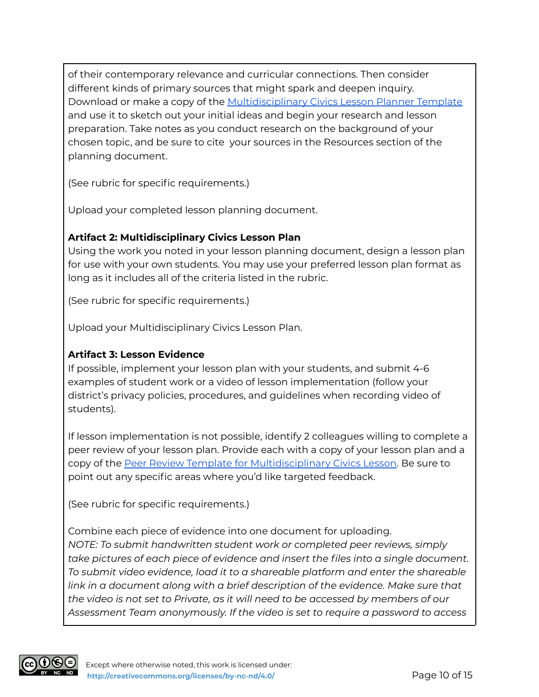of their contemporary relevance and curricular connections. Then consider different kinds of primary sources that might spark and deepen inquiry. Download or make a copy of the [Multidisciplinary](https://docs.google.com/document/d/1A9DuCPGqDTZalWcROlTYuceHUfQZgJqxNdkl0odU1n4/view) Civics Lesson Planner Template and use it to sketch out your initial ideas and begin your research and lesson preparation. Take notes as you conduct research on the background of your chosen topic, and be sure to cite your sources in the Resources section of the planning document.

(See rubric for specific requirements.)

Upload your completed lesson planning document.

#### **Artifact 2: Multidisciplinary Civics Lesson Plan**

Using the work you noted in your lesson planning document, design a lesson plan for use with your own students. You may use your preferred lesson plan format as long as it includes all of the criteria listed in the rubric.

(See rubric for specific requirements.)

Upload your Multidisciplinary Civics Lesson Plan.

#### **Artifact 3: Lesson Evidence**

If possible, implement your lesson plan with your students, and submit 4-6 examples of student work or a video of lesson implementation (follow your district's privacy policies, procedures, and guidelines when recording video of students).

If lesson implementation is not possible, identify 2 colleagues willing to complete a peer review of your lesson plan. Provide each with a copy of your lesson plan and a copy of the Peer Review Template for [Multidisciplinary](https://docs.google.com/document/d/1T9V_JrVwcGpaGgwmNpU1HOjH1W3EPFUNK22Ac4NrHFs/view) Civics Lesson. Be sure to point out any specific areas where you'd like targeted feedback.

(See rubric for specific requirements.)

Combine each piece of evidence into one document for uploading. *NOTE: To submit handwritten student work or completed peer reviews, simply take pictures of each piece of evidence and insert the files into a single document. To submit video evidence, load it to a shareable platform and enter the shareable link in a document along with a brief description of the evidence. Make sure that the video is not set to Private, as it will need to be accessed by members of our Assessment Team anonymously. If the video is set to require a password to access*

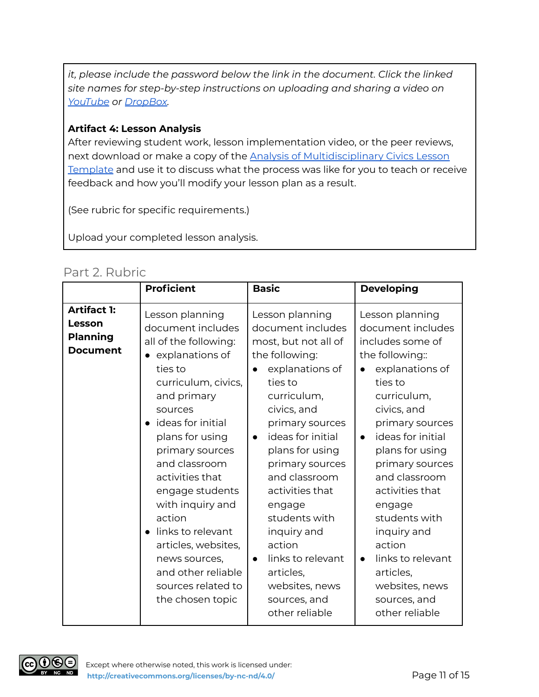*it, please include the password below the link in the document. Click the linked site names for step-by-step instructions on uploading and sharing a video on [YouTube](https://www.youtube.com/watch?v=6C4dEpT0rYg&feature=emb_title) or [DropBox](https://help.dropbox.com/files-folders/share/share-with-others).*

#### **Artifact 4: Lesson Analysis**

After reviewing student work, lesson implementation video, or the peer reviews, next download or make a copy of the **Analysis of [Multidisciplinary](https://docs.google.com/document/d/1NWEw4nPS5tp21jnF_XRsf_8Eg5AJsJ3IAAATTQ2LEM4/view) Civics Lesson** [Template](https://docs.google.com/document/d/1NWEw4nPS5tp21jnF_XRsf_8Eg5AJsJ3IAAATTQ2LEM4/view) and use it to discuss what the process was like for you to teach or receive feedback and how you'll modify your lesson plan as a result.

(See rubric for specific requirements.)

Upload your completed lesson analysis.

#### Part 2. Rubric

|                                                                    | <b>Proficient</b>                                                                                                                                                                                                                                                                                                                                                                                                           | <b>Basic</b>                                                                                                                                                                                                                                                                                                                                                                                                                     | <b>Developing</b>                                                                                                                                                                                                                                                                                                                                                                                                             |
|--------------------------------------------------------------------|-----------------------------------------------------------------------------------------------------------------------------------------------------------------------------------------------------------------------------------------------------------------------------------------------------------------------------------------------------------------------------------------------------------------------------|----------------------------------------------------------------------------------------------------------------------------------------------------------------------------------------------------------------------------------------------------------------------------------------------------------------------------------------------------------------------------------------------------------------------------------|-------------------------------------------------------------------------------------------------------------------------------------------------------------------------------------------------------------------------------------------------------------------------------------------------------------------------------------------------------------------------------------------------------------------------------|
| <b>Artifact 1:</b><br>Lesson<br><b>Planning</b><br><b>Document</b> | Lesson planning<br>document includes<br>all of the following:<br>explanations of<br>ties to<br>curriculum, civics,<br>and primary<br>sources<br>· ideas for initial<br>plans for using<br>primary sources<br>and classroom<br>activities that<br>engage students<br>with inquiry and<br>action<br>links to relevant<br>articles, websites,<br>news sources,<br>and other reliable<br>sources related to<br>the chosen topic | Lesson planning<br>document includes<br>most, but not all of<br>the following:<br>explanations of<br>ties to<br>curriculum,<br>civics, and<br>primary sources<br>ideas for initial<br>$\bullet$<br>plans for using<br>primary sources<br>and classroom<br>activities that<br>engage<br>students with<br>inquiry and<br>action<br>links to relevant<br>$\bullet$<br>articles,<br>websites, news<br>sources, and<br>other reliable | Lesson planning<br>document includes<br>includes some of<br>the following::<br>explanations of<br>ties to<br>curriculum,<br>civics, and<br>primary sources<br>ideas for initial<br>$\bullet$<br>plans for using<br>primary sources<br>and classroom<br>activities that<br>engage<br>students with<br>inquiry and<br>action<br>links to relevant<br>$\bullet$<br>articles,<br>websites, news<br>sources, and<br>other reliable |

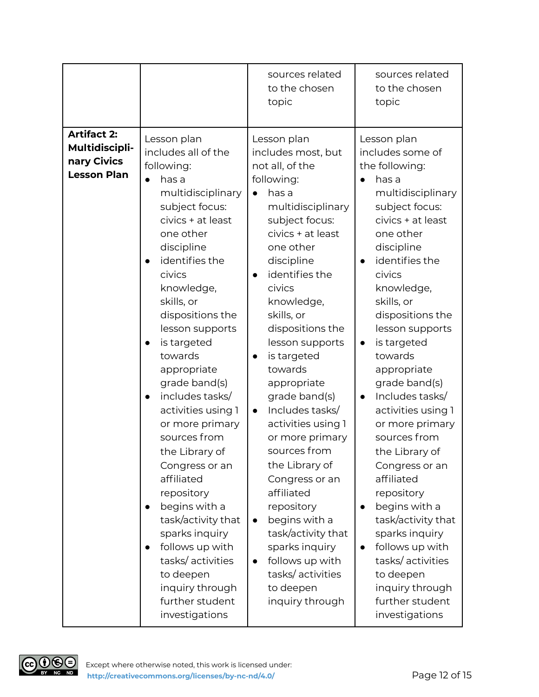|                                                                           |                                                                                                                                                                                                                                                                                                                                                                                                                                                                                                                                                                                                                            | sources related<br>to the chosen<br>topic                                                                                                                                                                                                                                                                                                                                                                                                                                                                                                                                                                                                                                | sources related<br>to the chosen<br>topic                                                                                                                                                                                                                                                                                                                                                                                                                                                                                                                                                                                                                                                    |
|---------------------------------------------------------------------------|----------------------------------------------------------------------------------------------------------------------------------------------------------------------------------------------------------------------------------------------------------------------------------------------------------------------------------------------------------------------------------------------------------------------------------------------------------------------------------------------------------------------------------------------------------------------------------------------------------------------------|--------------------------------------------------------------------------------------------------------------------------------------------------------------------------------------------------------------------------------------------------------------------------------------------------------------------------------------------------------------------------------------------------------------------------------------------------------------------------------------------------------------------------------------------------------------------------------------------------------------------------------------------------------------------------|----------------------------------------------------------------------------------------------------------------------------------------------------------------------------------------------------------------------------------------------------------------------------------------------------------------------------------------------------------------------------------------------------------------------------------------------------------------------------------------------------------------------------------------------------------------------------------------------------------------------------------------------------------------------------------------------|
| <b>Artifact 2:</b><br>Multidiscipli-<br>nary Civics<br><b>Lesson Plan</b> | Lesson plan<br>includes all of the<br>following:<br>has a<br>multidisciplinary<br>subject focus:<br>civics + at least<br>one other<br>discipline<br>identifies the<br>civics<br>knowledge,<br>skills, or<br>dispositions the<br>lesson supports<br>is targeted<br>towards<br>appropriate<br>grade band(s)<br>includes tasks/<br>activities using 1<br>or more primary<br>sources from<br>the Library of<br>Congress or an<br>affiliated<br>repository<br>begins with a<br>task/activity that<br>sparks inquiry<br>follows up with<br>tasks/activities<br>to deepen<br>inquiry through<br>further student<br>investigations | Lesson plan<br>includes most, but<br>not all, of the<br>following:<br>has a<br>$\bullet$<br>multidisciplinary<br>subject focus:<br>civics + at least<br>one other<br>discipline<br>identifies the<br>civics<br>knowledge,<br>skills, or<br>dispositions the<br>lesson supports<br>is targeted<br>$\bullet$<br>towards<br>appropriate<br>grade band(s)<br>Includes tasks/<br>$\bullet$<br>activities using 1<br>or more primary<br>sources from<br>the Library of<br>Congress or an<br>affiliated<br>repository<br>begins with a<br>$\bullet$<br>task/activity that<br>sparks inquiry<br>follows up with<br>$\bullet$<br>tasks/activities<br>to deepen<br>inquiry through | Lesson plan<br>includes some of<br>the following:<br>has a<br>multidisciplinary<br>subject focus:<br>civics + at least<br>one other<br>discipline<br>identifies the<br>$\bullet$<br>civics<br>knowledge,<br>skills, or<br>dispositions the<br>lesson supports<br>is targeted<br>$\bullet$<br>towards<br>appropriate<br>grade band(s)<br>Includes tasks/<br>$\bullet$<br>activities using 1<br>or more primary<br>sources from<br>the Library of<br>Congress or an<br>affiliated<br>repository<br>begins with a<br>$\bullet$<br>task/activity that<br>sparks inquiry<br>follows up with<br>$\bullet$<br>tasks/activities<br>to deepen<br>inquiry through<br>further student<br>investigations |

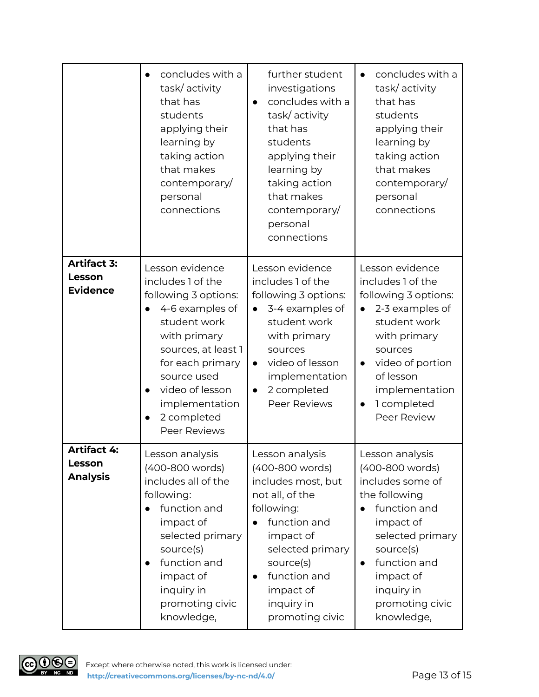|                                                 | concludes with a<br>task/activity<br>that has<br>students<br>applying their<br>learning by<br>taking action<br>that makes<br>contemporary/<br>personal<br>connections                                                                         | further student<br>investigations<br>concludes with a<br>task/activity<br>that has<br>students<br>applying their<br>learning by<br>taking action<br>that makes<br>contemporary/<br>personal<br>connections                            | concludes with a<br>task/activity<br>that has<br>students<br>applying their<br>learning by<br>taking action<br>that makes<br>contemporary/<br>personal<br>connections                                                                              |
|-------------------------------------------------|-----------------------------------------------------------------------------------------------------------------------------------------------------------------------------------------------------------------------------------------------|---------------------------------------------------------------------------------------------------------------------------------------------------------------------------------------------------------------------------------------|----------------------------------------------------------------------------------------------------------------------------------------------------------------------------------------------------------------------------------------------------|
| <b>Artifact 3:</b><br>Lesson<br><b>Evidence</b> | Lesson evidence<br>includes 1 of the<br>following 3 options:<br>4-6 examples of<br>student work<br>with primary<br>sources, at least 1<br>for each primary<br>source used<br>video of lesson<br>implementation<br>2 completed<br>Peer Reviews | Lesson evidence<br>includes 1 of the<br>following 3 options:<br>3-4 examples of<br>$\bullet$<br>student work<br>with primary<br>sources<br>video of lesson<br>$\bullet$<br>implementation<br>2 completed<br>$\bullet$<br>Peer Reviews | Lesson evidence<br>includes 1 of the<br>following 3 options:<br>2-3 examples of<br>$\bullet$<br>student work<br>with primary<br>sources<br>video of portion<br>$\bullet$<br>of lesson<br>implementation<br>1 completed<br>$\bullet$<br>Peer Review |
| <b>Artifact 4:</b><br>Lesson<br><b>Analysis</b> | Lesson analysis<br>(400-800 words)<br>includes all of the<br>following:<br>function and<br>impact of<br>selected primary<br>source(s)<br>function and<br>$\bullet$<br>impact of<br>inquiry in<br>promoting civic<br>knowledge,                | Lesson analysis<br>(400-800 words)<br>includes most, but<br>not all, of the<br>following:<br>function and<br>impact of<br>selected primary<br>source(s)<br>function and<br>impact of<br>inquiry in<br>promoting civic                 | Lesson analysis<br>(400-800 words)<br>includes some of<br>the following<br>function and<br>impact of<br>selected primary<br>source(s)<br>function and<br>$\bullet$<br>impact of<br>inquiry in<br>promoting civic<br>knowledge,                     |

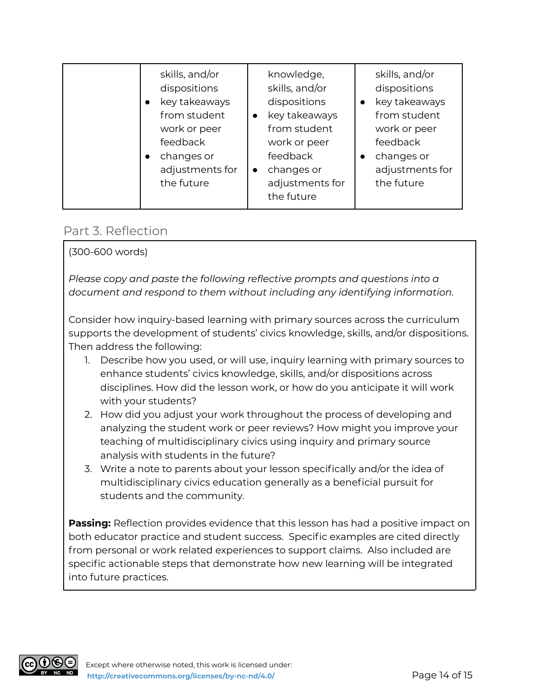| skills, and/or<br>dispositions<br>key takeaways<br>$\bullet$<br>from student<br>work or peer<br>feedback<br>changes or<br>$\bullet$<br>adjustments for<br>the future | knowledge,<br>skills, and/or<br>dispositions<br>key takeaways<br>$\bullet$<br>from student<br>work or peer<br>feedback<br>changes or<br>$\bullet$<br>adjustments for<br>the future | skills, and/or<br>dispositions<br>key takeaways<br>$\bullet$<br>from student<br>work or peer<br>feedback<br>changes or<br>$\bullet$<br>adjustments for<br>the future |
|----------------------------------------------------------------------------------------------------------------------------------------------------------------------|------------------------------------------------------------------------------------------------------------------------------------------------------------------------------------|----------------------------------------------------------------------------------------------------------------------------------------------------------------------|
|----------------------------------------------------------------------------------------------------------------------------------------------------------------------|------------------------------------------------------------------------------------------------------------------------------------------------------------------------------------|----------------------------------------------------------------------------------------------------------------------------------------------------------------------|

#### Part 3. Reflection

#### (300-600 words)

*Please copy and paste the following reflective prompts and questions into a document and respond to them without including any identifying information.*

Consider how inquiry-based learning with primary sources across the curriculum supports the development of students' civics knowledge, skills, and/or dispositions. Then address the following:

- 1. Describe how you used, or will use, inquiry learning with primary sources to enhance students' civics knowledge, skills, and/or dispositions across disciplines. How did the lesson work, or how do you anticipate it will work with your students?
- 2. How did you adjust your work throughout the process of developing and analyzing the student work or peer reviews? How might you improve your teaching of multidisciplinary civics using inquiry and primary source analysis with students in the future?
- 3. Write a note to parents about your lesson specifically and/or the idea of multidisciplinary civics education generally as a beneficial pursuit for students and the community.

**Passing:** Reflection provides evidence that this lesson has had a positive impact on both educator practice and student success. Specific examples are cited directly from personal or work related experiences to support claims. Also included are specific actionable steps that demonstrate how new learning will be integrated into future practices.